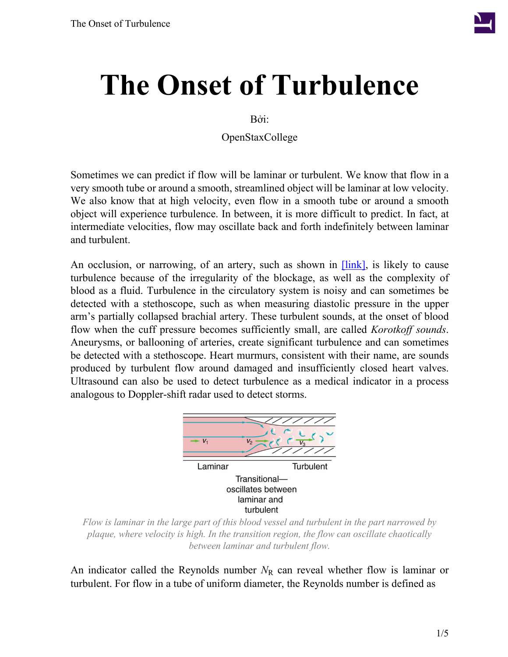

# **The Onset of Turbulence**

#### Bởi:

OpenStaxCollege

Sometimes we can predict if flow will be laminar or turbulent. We know that flow in a very smooth tube or around a smooth, streamlined object will be laminar at low velocity. We also know that at high velocity, even flow in a smooth tube or around a smooth object will experience turbulence. In between, it is more difficult to predict. In fact, at intermediate velocities, flow may oscillate back and forth indefinitely between laminar and turbulent.

An occlusion, or narrowing, of an artery, such as shown in **[link]**, is likely to cause turbulence because of the irregularity of the blockage, as well as the complexity of blood as a fluid. Turbulence in the circulatory system is noisy and can sometimes be detected with a stethoscope, such as when measuring diastolic pressure in the upper arm's partially collapsed brachial artery. These turbulent sounds, at the onset of blood flow when the cuff pressure becomes sufficiently small, are called *Korotkoff sounds*. Aneurysms, or ballooning of arteries, create significant turbulence and can sometimes be detected with a stethoscope. Heart murmurs, consistent with their name, are sounds produced by turbulent flow around damaged and insufficiently closed heart valves. Ultrasound can also be used to detect turbulence as a medical indicator in a process analogous to Doppler-shift radar used to detect storms.

<span id="page-0-0"></span>

*Flow is laminar in the large part of this blood vessel and turbulent in the part narrowed by plaque, where velocity is high. In the transition region, the flow can oscillate chaotically between laminar and turbulent flow.*

An indicator called the Reynolds number  $N_R$  can reveal whether flow is laminar or turbulent. For flow in a tube of uniform diameter, the Reynolds number is defined as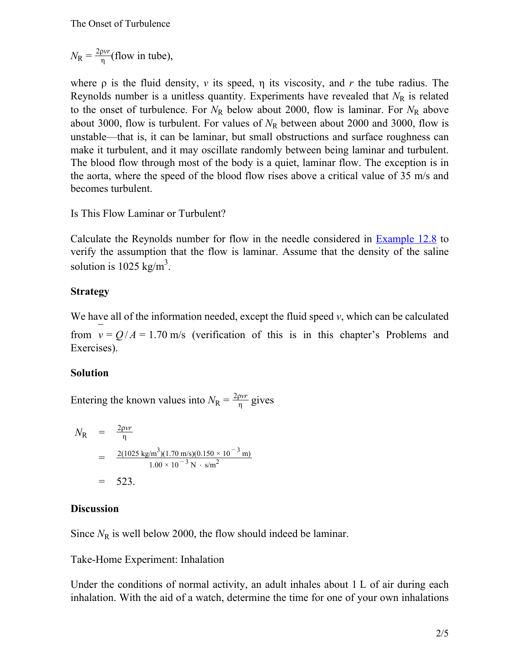The Onset of Turbulence

 $N_{\rm R} = \frac{2\rho v r}{n}$  $\frac{pvr}{n}$ (flow in tube),

where  $\rho$  is the fluid density, *v* its speed,  $\eta$  its viscosity, and *r* the tube radius. The Reynolds number is a unitless quantity. Experiments have revealed that  $N_R$  is related to the onset of turbulence. For  $N_R$  below about 2000, flow is laminar. For  $N_R$  above about 3000, flow is turbulent. For values of  $N_R$  between about 2000 and 3000, flow is unstable—that is, it can be laminar, but small obstructions and surface roughness can make it turbulent, and it may oscillate randomly between being laminar and turbulent. The blood flow through most of the body is a quiet, laminar flow. The exception is in the aorta, where the speed of the blood flow rises above a critical value of 35 m/s and becomes turbulent.

Is This Flow Laminar or Turbulent?

Calculate the Reynolds number for flow in the needle considered in [Example](/m42209#fs-id1969731) 12.8 to verify the assumption that the flow is laminar. Assume that the density of the saline solution is 1025 kg/m<sup>3</sup>.

#### **Strategy**

We have all of the information needed, except the fluid speed *v*, which can be calculated from  $v = Q/A = 1.70$  m/s (verification of this is in this chapter's Problems and Exercises).

## **Solution**

Entering the known values into  $N_R = \frac{2\rho v r}{n}$  $\frac{1}{n}$  gives

$$
N_{\rm R} = \frac{2 \rho v r}{\eta}
$$
  
= 
$$
\frac{2(1025 \text{ kg/m}^3)(1.70 \text{ m/s})(0.150 \times 10^{-3} \text{ m})}{1.00 \times 10^{-3} \text{ N} \cdot \text{s/m}^2}
$$
  
= 523.

#### **Discussion**

Since  $N_R$  is well below 2000, the flow should indeed be laminar.

<span id="page-1-0"></span>Take-Home Experiment: Inhalation

Under the conditions of normal activity, an adult inhales about 1 L of air during each inhalation. With the aid of a watch, determine the time for one of your own inhalations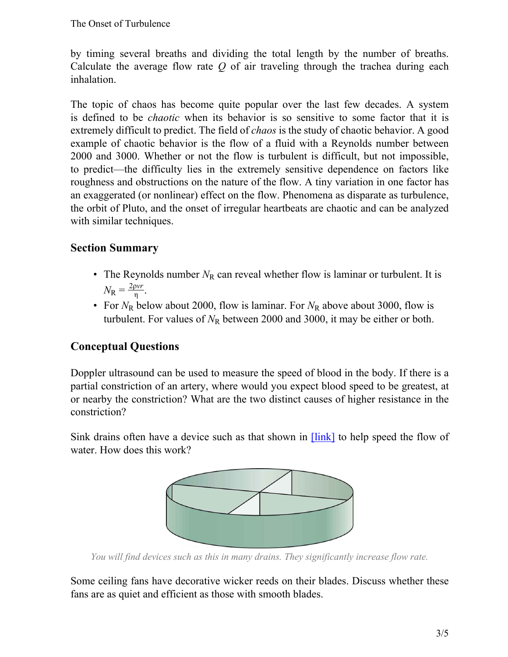by timing several breaths and dividing the total length by the number of breaths. Calculate the average flow rate *Q* of air traveling through the trachea during each inhalation.

The topic of chaos has become quite popular over the last few decades. A system is defined to be *chaotic* when its behavior is so sensitive to some factor that it is extremely difficult to predict. The field of *chaos* is the study of chaotic behavior. A good example of chaotic behavior is the flow of a fluid with a Reynolds number between 2000 and 3000. Whether or not the flow is turbulent is difficult, but not impossible, to predict—the difficulty lies in the extremely sensitive dependence on factors like roughness and obstructions on the nature of the flow. A tiny variation in one factor has an exaggerated (or nonlinear) effect on the flow. Phenomena as disparate as turbulence, the orbit of Pluto, and the onset of irregular heartbeats are chaotic and can be analyzed with similar techniques.

## **Section Summary**

- The Reynolds number  $N_R$  can reveal whether flow is laminar or turbulent. It is  $N_{\rm R} = \frac{2\rho v r}{n}$  $\frac{N}{\eta}$ .
- For  $N_R$  below about 2000, flow is laminar. For  $N_R$  above about 3000, flow is turbulent. For values of  $N_R$  between 2000 and 3000, it may be either or both.

# **Conceptual Questions**

Doppler ultrasound can be used to measure the speed of blood in the body. If there is a partial constriction of an artery, where would you expect blood speed to be greatest, at or nearby the constriction? What are the two distinct causes of higher resistance in the constriction?

<span id="page-2-0"></span>Sink drains often have a device such as that shown in **[\[link\]](#page-2-0)** to help speed the flow of water. How does this work?



*You will find devices such as this in many drains. They significantly increase flow rate.*

Some ceiling fans have decorative wicker reeds on their blades. Discuss whether these fans are as quiet and efficient as those with smooth blades.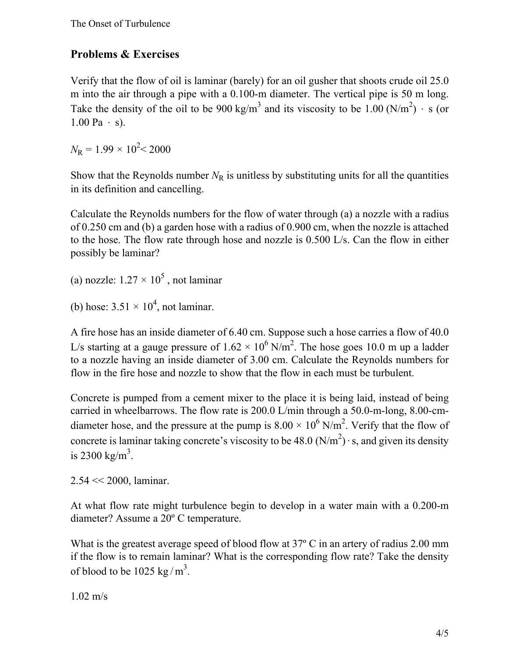# **Problems & Exercises**

Verify that the flow of oil is laminar (barely) for an oil gusher that shoots crude oil 25.0 m into the air through a pipe with a 0.100-m diameter. The vertical pipe is 50 m long. Take the density of the oil to be 900 kg/m<sup>3</sup> and its viscosity to be 1.00 (N/m<sup>2</sup>) · s (or  $1.00 \text{ Pa} \cdot \text{s}$ ).

 $N_{\rm R}$  = 1.99  $\times$  10<sup>2</sup> < 2000

Show that the Reynolds number  $N_R$  is unitless by substituting units for all the quantities in its definition and cancelling.

Calculate the Reynolds numbers for the flow of water through (a) a nozzle with a radius of 0.250 cm and (b) a garden hose with a radius of 0.900 cm, when the nozzle is attached to the hose. The flow rate through hose and nozzle is 0.500 L/s. Can the flow in either possibly be laminar?

(a) nozzle:  $1.27 \times 10^5$ , not laminar

(b) hose:  $3.51 \times 10^4$ , not laminar.

A fire hose has an inside diameter of 6.40 cm. Suppose such a hose carries a flow of 40.0 L/s starting at a gauge pressure of  $1.62 \times 10^6$  N/m<sup>2</sup>. The hose goes 10.0 m up a ladder to a nozzle having an inside diameter of 3.00 cm. Calculate the Reynolds numbers for flow in the fire hose and nozzle to show that the flow in each must be turbulent.

Concrete is pumped from a cement mixer to the place it is being laid, instead of being carried in wheelbarrows. The flow rate is 200.0 L/min through a 50.0-m-long, 8.00-cmdiameter hose, and the pressure at the pump is  $8.00 \times 10^6$  N/m<sup>2</sup>. Verify that the flow of concrete is laminar taking concrete's viscosity to be 48.0 (N/m<sup>2</sup>)  $\cdot$  s, and given its density is 2300 kg/m<sup>3</sup>.

2.54 << 2000, laminar.

At what flow rate might turbulence begin to develop in a water main with a 0.200-m diameter? Assume a 20º C temperature.

What is the greatest average speed of blood flow at 37<sup>o</sup> C in an artery of radius 2.00 mm if the flow is to remain laminar? What is the corresponding flow rate? Take the density of blood to be  $1025 \text{ kg/m}^3$ .